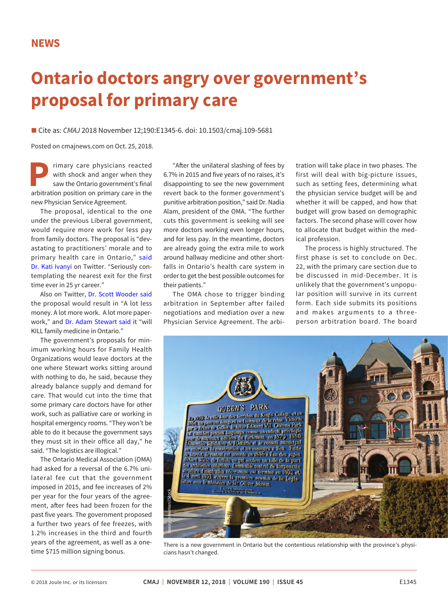## **Ontario doctors angry over government's proposal for primary care**

■ Cite as: *CMAJ* 2018 November 12;190:E1345-6. doi: 10.1503/cmaj.109-5681

Posted on cmajnews.com on Oct. 25, 2018.

**Primary care physicians reacted with shock and anger when they saw the Ontario government's final arbitration position on primary care in the** with shock and anger when they saw the Ontario government's final new Physician Service Agreement.

The proposal, identical to the one under the previous Liberal government, would require more work for less pay from family doctors. The proposal is "devastating to practitioners' morale and to primary health care in Ontario," [said](https://twitter.com/Kati_Ivanyi/status/1052881315442380800) [Dr. Kati Ivanyi](https://twitter.com/Kati_Ivanyi/status/1052881315442380800) on Twitter. "Seriously contemplating the nearest exit for the first time ever in 25 yr career."

Also on Twitter, [Dr. Scott Wooder said](https://twitter.com/ScottWooder/status/1052666445006598144) the proposal would result in "A lot less money. A lot more work. A lot more paperwork," and [Dr. Adam Stewart said i](https://twitter.com/stewartmedicine/status/1052657671386660864)t "will KILL family medicine in Ontario."

The government's proposals for minimum working hours for Family Health Organizations would leave doctors at the one where Stewart works sitting around with nothing to do, he said, because they already balance supply and demand for care. That would cut into the time that some primary care doctors have for other work, such as palliative care or working in hospital emergency rooms. "They won't be able to do it because the government says they must sit in their office all day," he said. "The logistics are illogical."

The Ontario Medical Association (OMA) had asked for a reversal of the 6.7% unilateral fee cut that the government imposed in 2015, and fee increases of 2% per year for the four years of the agreement, after fees had been frozen for the past five years. The government proposed a further two years of fee freezes, with 1.2% increases in the third and fourth years of the agreement, as well as a onetime \$715 million signing bonus.

"After the unilateral slashing of fees by 6.7% in 2015 and five years of no raises, it's disappointing to see the new government revert back to the former government's punitive arbitration position," said Dr. Nadia Alam, president of the OMA. "The further cuts this government is seeking will see more doctors working even longer hours, and for less pay. In the meantime, doctors are already going the extra mile to work around hallway medicine and other shortfalls in Ontario's health care system in order to get the best possible outcomes for their patients."

The OMA chose to trigger binding arbitration in September after failed negotiations and mediation over a new Physician Service Agreement. The arbitration will take place in two phases. The first will deal with big-picture issues, such as setting fees, determining what the physician service budget will be and whether it will be capped, and how that budget will grow based on demographic factors. The second phase will cover how to allocate that budget within the medical profession.

The process is highly structured. The first phase is set to conclude on Dec. 22, with the primary care section due to be discussed in mid-December. It is unlikely that the government's unpopular position will survive in its current form. Each side submits its positions and makes arguments to a threeperson arbitration board. The board



There is a new government in Ontario but the contentious relationship with the province's physi-